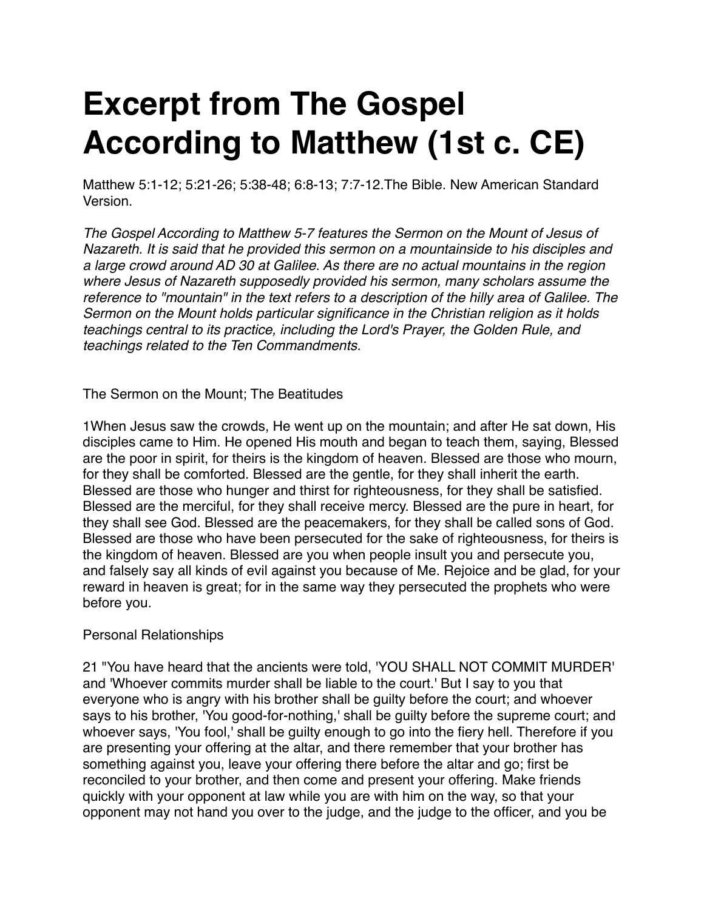# **Excerpt from The Gospel According to Matthew (1st c. CE)**

Matthew 5:1-12; 5:21-26; 5:38-48; 6:8-13; 7:7-12.The Bible. New American Standard Version.

*The Gospel According to Matthew 5-7 features the Sermon on the Mount of Jesus of Nazareth. It is said that he provided this sermon on a mountainside to his disciples and a large crowd around AD 30 at Galilee. As there are no actual mountains in the region where Jesus of Nazareth supposedly provided his sermon, many scholars assume the reference to "mountain" in the text refers to a description of the hilly area of Galilee. The Sermon on the Mount holds particular significance in the Christian religion as it holds teachings central to its practice, including the Lord's Prayer, the Golden Rule, and teachings related to the Ten Commandments.*

The Sermon on the Mount; The Beatitudes

1When Jesus saw the crowds, He went up on the mountain; and after He sat down, His disciples came to Him. He opened His mouth and began to teach them, saying, Blessed are the poor in spirit, for theirs is the kingdom of heaven. Blessed are those who mourn, for they shall be comforted. Blessed are the gentle, for they shall inherit the earth. Blessed are those who hunger and thirst for righteousness, for they shall be satisfied. Blessed are the merciful, for they shall receive mercy. Blessed are the pure in heart, for they shall see God. Blessed are the peacemakers, for they shall be called sons of God. Blessed are those who have been persecuted for the sake of righteousness, for theirs is the kingdom of heaven. Blessed are you when people insult you and persecute you, and falsely say all kinds of evil against you because of Me. Rejoice and be glad, for your reward in heaven is great; for in the same way they persecuted the prophets who were before you.

#### Personal Relationships

21 "You have heard that the ancients were told, 'YOU SHALL NOT COMMIT MURDER' and 'Whoever commits murder shall be liable to the court.' But I say to you that everyone who is angry with his brother shall be guilty before the court; and whoever says to his brother, 'You good-for-nothing,' shall be guilty before the supreme court; and whoever says, 'You fool,' shall be guilty enough to go into the fiery hell. Therefore if you are presenting your offering at the altar, and there remember that your brother has something against you, leave your offering there before the altar and go; first be reconciled to your brother, and then come and present your offering. Make friends quickly with your opponent at law while you are with him on the way, so that your opponent may not hand you over to the judge, and the judge to the officer, and you be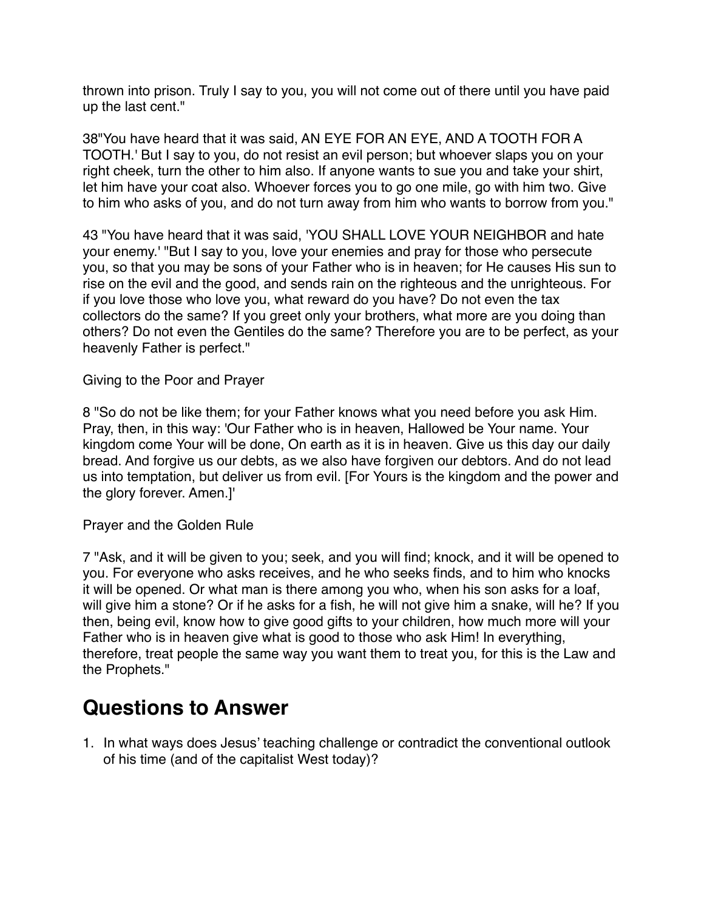thrown into prison. Truly I say to you, you will not come out of there until you have paid up the last cent."

38"You have heard that it was said, AN EYE FOR AN EYE, AND A TOOTH FOR A TOOTH.' But I say to you, do not resist an evil person; but whoever slaps you on your right cheek, turn the other to him also. If anyone wants to sue you and take your shirt, let him have your coat also. Whoever forces you to go one mile, go with him two. Give to him who asks of you, and do not turn away from him who wants to borrow from you."

43 "You have heard that it was said, 'YOU SHALL LOVE YOUR NEIGHBOR and hate your enemy.' "But I say to you, love your enemies and pray for those who persecute you, so that you may be sons of your Father who is in heaven; for He causes His sun to rise on the evil and the good, and sends rain on the righteous and the unrighteous. For if you love those who love you, what reward do you have? Do not even the tax collectors do the same? If you greet only your brothers, what more are you doing than others? Do not even the Gentiles do the same? Therefore you are to be perfect, as your heavenly Father is perfect."

Giving to the Poor and Prayer

8 "So do not be like them; for your Father knows what you need before you ask Him. Pray, then, in this way: 'Our Father who is in heaven, Hallowed be Your name. Your kingdom come Your will be done, On earth as it is in heaven. Give us this day our daily bread. And forgive us our debts, as we also have forgiven our debtors. And do not lead us into temptation, but deliver us from evil. [For Yours is the kingdom and the power and the glory forever. Amen.]'

Prayer and the Golden Rule

7 "Ask, and it will be given to you; seek, and you will find; knock, and it will be opened to you. For everyone who asks receives, and he who seeks finds, and to him who knocks it will be opened. Or what man is there among you who, when his son asks for a loaf, will give him a stone? Or if he asks for a fish, he will not give him a snake, will he? If you then, being evil, know how to give good gifts to your children, how much more will your Father who is in heaven give what is good to those who ask Him! In everything, therefore, treat people the same way you want them to treat you, for this is the Law and the Prophets."

## **Questions to Answer**

1. In what ways does Jesus' teaching challenge or contradict the conventional outlook of his time (and of the capitalist West today)?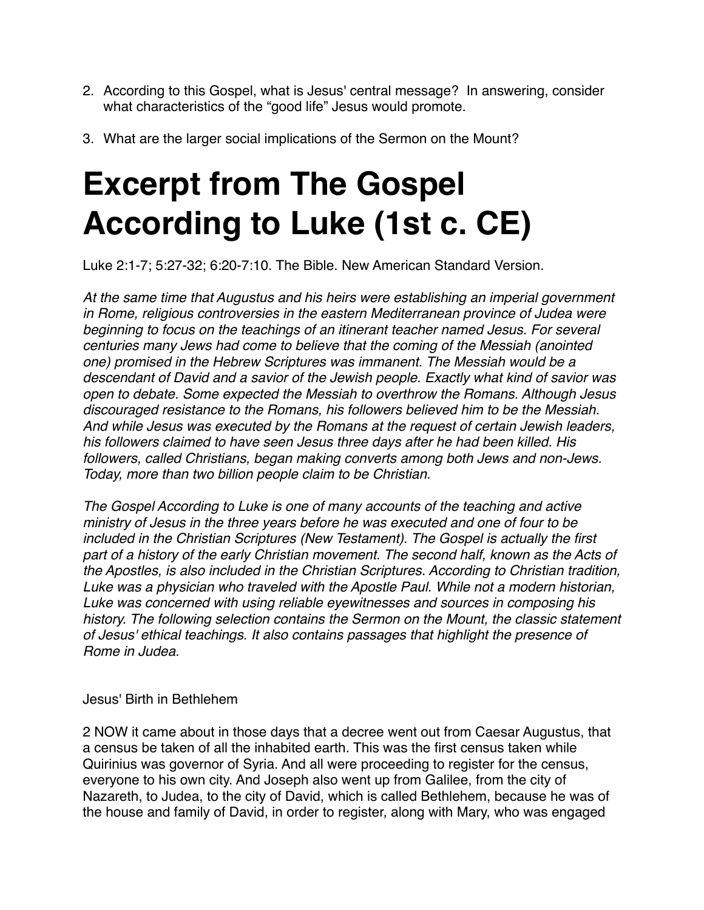- 2. According to this Gospel, what is Jesus' central message? In answering, consider what characteristics of the "good life" Jesus would promote.
- 3. What are the larger social implications of the Sermon on the Mount?

## **Excerpt from The Gospel According to Luke (1st c. CE)**

Luke 2:1-7; 5:27-32; 6:20-7:10. The Bible. New American Standard Version.

*At the same time that Augustus and his heirs were establishing an imperial government in Rome, religious controversies in the eastern Mediterranean province of Judea were beginning to focus on the teachings of an itinerant teacher named Jesus. For several centuries many Jews had come to believe that the coming of the Messiah (anointed one) promised in the Hebrew Scriptures was immanent. The Messiah would be a descendant of David and a savior of the Jewish people. Exactly what kind of savior was open to debate. Some expected the Messiah to overthrow the Romans. Although Jesus discouraged resistance to the Romans, his followers believed him to be the Messiah. And while Jesus was executed by the Romans at the request of certain Jewish leaders, his followers claimed to have seen Jesus three days after he had been killed. His followers, called Christians, began making converts among both Jews and non-Jews. Today, more than two billion people claim to be Christian.* 

*The Gospel According to Luke is one of many accounts of the teaching and active ministry of Jesus in the three years before he was executed and one of four to be included in the Christian Scriptures (New Testament). The Gospel is actually the first part of a history of the early Christian movement. The second half, known as the Acts of the Apostles, is also included in the Christian Scriptures. According to Christian tradition, Luke was a physician who traveled with the Apostle Paul. While not a modern historian, Luke was concerned with using reliable eyewitnesses and sources in composing his history. The following selection contains the Sermon on the Mount, the classic statement of Jesus' ethical teachings. It also contains passages that highlight the presence of Rome in Judea.*

Jesus' Birth in Bethlehem

2 NOW it came about in those days that a decree went out from Caesar Augustus, that a census be taken of all the inhabited earth. This was the first census taken while Quirinius was governor of Syria. And all were proceeding to register for the census, everyone to his own city. And Joseph also went up from Galilee, from the city of Nazareth, to Judea, to the city of David, which is called Bethlehem, because he was of the house and family of David, in order to register, along with Mary, who was engaged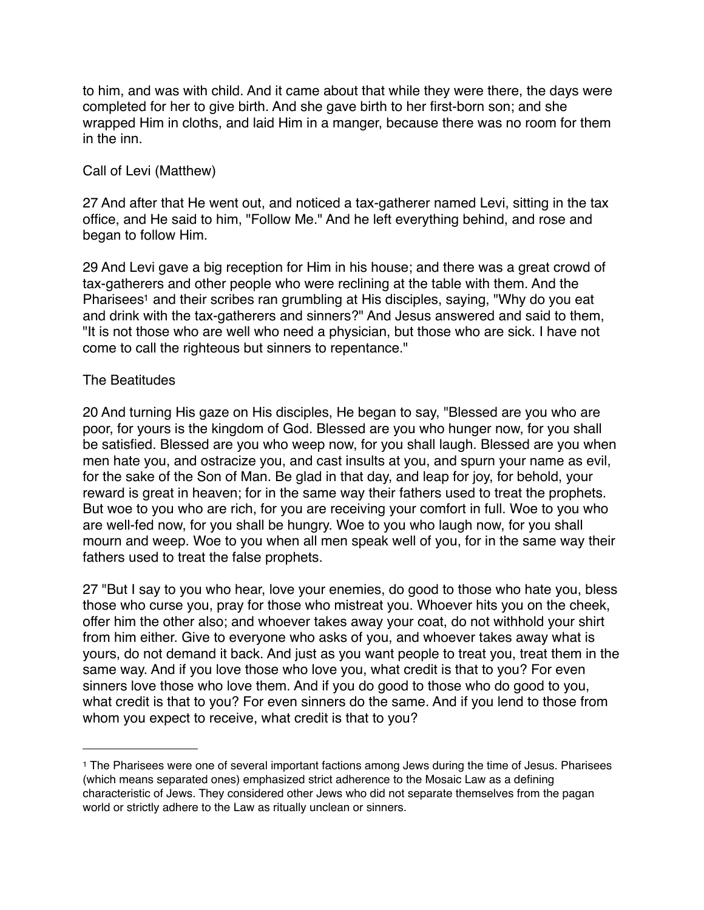to him, and was with child. And it came about that while they were there, the days were completed for her to give birth. And she gave birth to her first-born son; and she wrapped Him in cloths, and laid Him in a manger, because there was no room for them in the inn.

#### Call of Levi (Matthew)

27 And after that He went out, and noticed a tax-gatherer named Levi, sitting in the tax office, and He said to him, "Follow Me." And he left everything behind, and rose and began to follow Him.

29 And Levi gave a big reception for Him in his house; and there was a great crowd of tax-gatherers and other people who were reclining at the table with them. And the Pharisees<sup>1</sup> and their scribes ran grumbling at His disciples, saying, "Why do you eat and drink with the tax-gatherers and sinners?" And Jesus answered and said to them, "It is not those who are well who need a physician, but those who are sick. I have not come to call the righteous but sinners to repentance."

#### The Beatitudes

20 And turning His gaze on His disciples, He began to say, "Blessed are you who are poor, for yours is the kingdom of God. Blessed are you who hunger now, for you shall be satisfied. Blessed are you who weep now, for you shall laugh. Blessed are you when men hate you, and ostracize you, and cast insults at you, and spurn your name as evil, for the sake of the Son of Man. Be glad in that day, and leap for joy, for behold, your reward is great in heaven; for in the same way their fathers used to treat the prophets. But woe to you who are rich, for you are receiving your comfort in full. Woe to you who are well-fed now, for you shall be hungry. Woe to you who laugh now, for you shall mourn and weep. Woe to you when all men speak well of you, for in the same way their fathers used to treat the false prophets.

27 "But I say to you who hear, love your enemies, do good to those who hate you, bless those who curse you, pray for those who mistreat you. Whoever hits you on the cheek, offer him the other also; and whoever takes away your coat, do not withhold your shirt from him either. Give to everyone who asks of you, and whoever takes away what is yours, do not demand it back. And just as you want people to treat you, treat them in the same way. And if you love those who love you, what credit is that to you? For even sinners love those who love them. And if you do good to those who do good to you, what credit is that to you? For even sinners do the same. And if you lend to those from whom you expect to receive, what credit is that to you?

<span id="page-3-0"></span><sup>1</sup> The Pharisees were one of several important factions among Jews during the time of Jesus. Pharisees (which means separated ones) emphasized strict adherence to the Mosaic Law as a defining characteristic of Jews. They considered other Jews who did not separate themselves from the pagan world or strictly adhere to the Law as ritually unclean or sinners.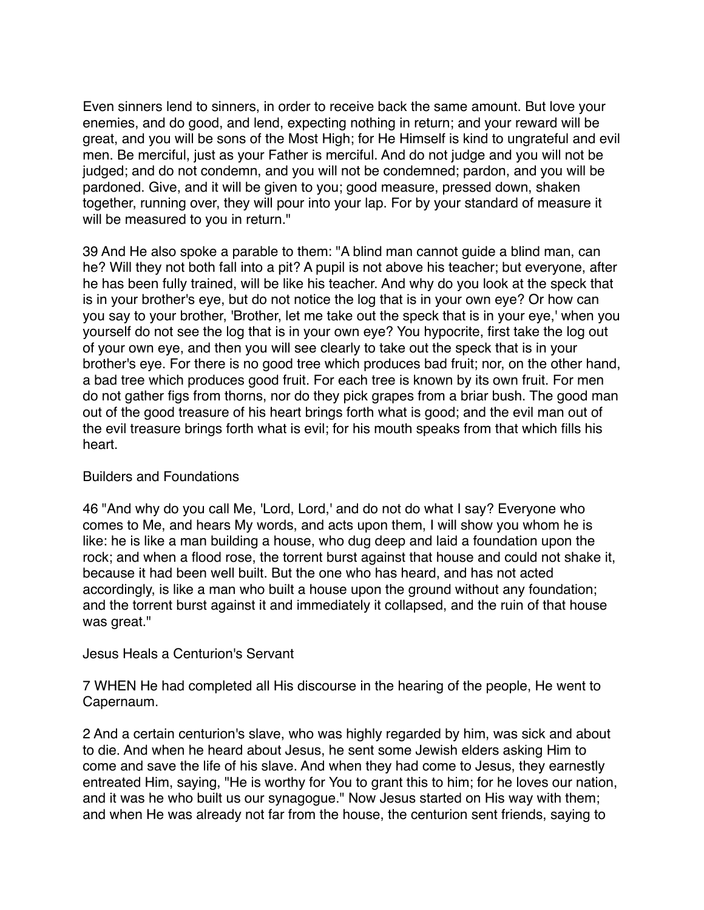Even sinners lend to sinners, in order to receive back the same amount. But love your enemies, and do good, and lend, expecting nothing in return; and your reward will be great, and you will be sons of the Most High; for He Himself is kind to ungrateful and evil men. Be merciful, just as your Father is merciful. And do not judge and you will not be judged; and do not condemn, and you will not be condemned; pardon, and you will be pardoned. Give, and it will be given to you; good measure, pressed down, shaken together, running over, they will pour into your lap. For by your standard of measure it will be measured to you in return."

39 And He also spoke a parable to them: "A blind man cannot guide a blind man, can he? Will they not both fall into a pit? A pupil is not above his teacher; but everyone, after he has been fully trained, will be like his teacher. And why do you look at the speck that is in your brother's eye, but do not notice the log that is in your own eye? Or how can you say to your brother, 'Brother, let me take out the speck that is in your eye,' when you yourself do not see the log that is in your own eye? You hypocrite, first take the log out of your own eye, and then you will see clearly to take out the speck that is in your brother's eye. For there is no good tree which produces bad fruit; nor, on the other hand, a bad tree which produces good fruit. For each tree is known by its own fruit. For men do not gather figs from thorns, nor do they pick grapes from a briar bush. The good man out of the good treasure of his heart brings forth what is good; and the evil man out of the evil treasure brings forth what is evil; for his mouth speaks from that which fills his heart.

#### Builders and Foundations

46 "And why do you call Me, 'Lord, Lord,' and do not do what I say? Everyone who comes to Me, and hears My words, and acts upon them, I will show you whom he is like: he is like a man building a house, who dug deep and laid a foundation upon the rock; and when a flood rose, the torrent burst against that house and could not shake it, because it had been well built. But the one who has heard, and has not acted accordingly, is like a man who built a house upon the ground without any foundation; and the torrent burst against it and immediately it collapsed, and the ruin of that house was great."

#### Jesus Heals a Centurion's Servant

7 WHEN He had completed all His discourse in the hearing of the people, He went to Capernaum.

2 And a certain centurion's slave, who was highly regarded by him, was sick and about to die. And when he heard about Jesus, he sent some Jewish elders asking Him to come and save the life of his slave. And when they had come to Jesus, they earnestly entreated Him, saying, "He is worthy for You to grant this to him; for he loves our nation, and it was he who built us our synagogue." Now Jesus started on His way with them; and when He was already not far from the house, the centurion sent friends, saying to